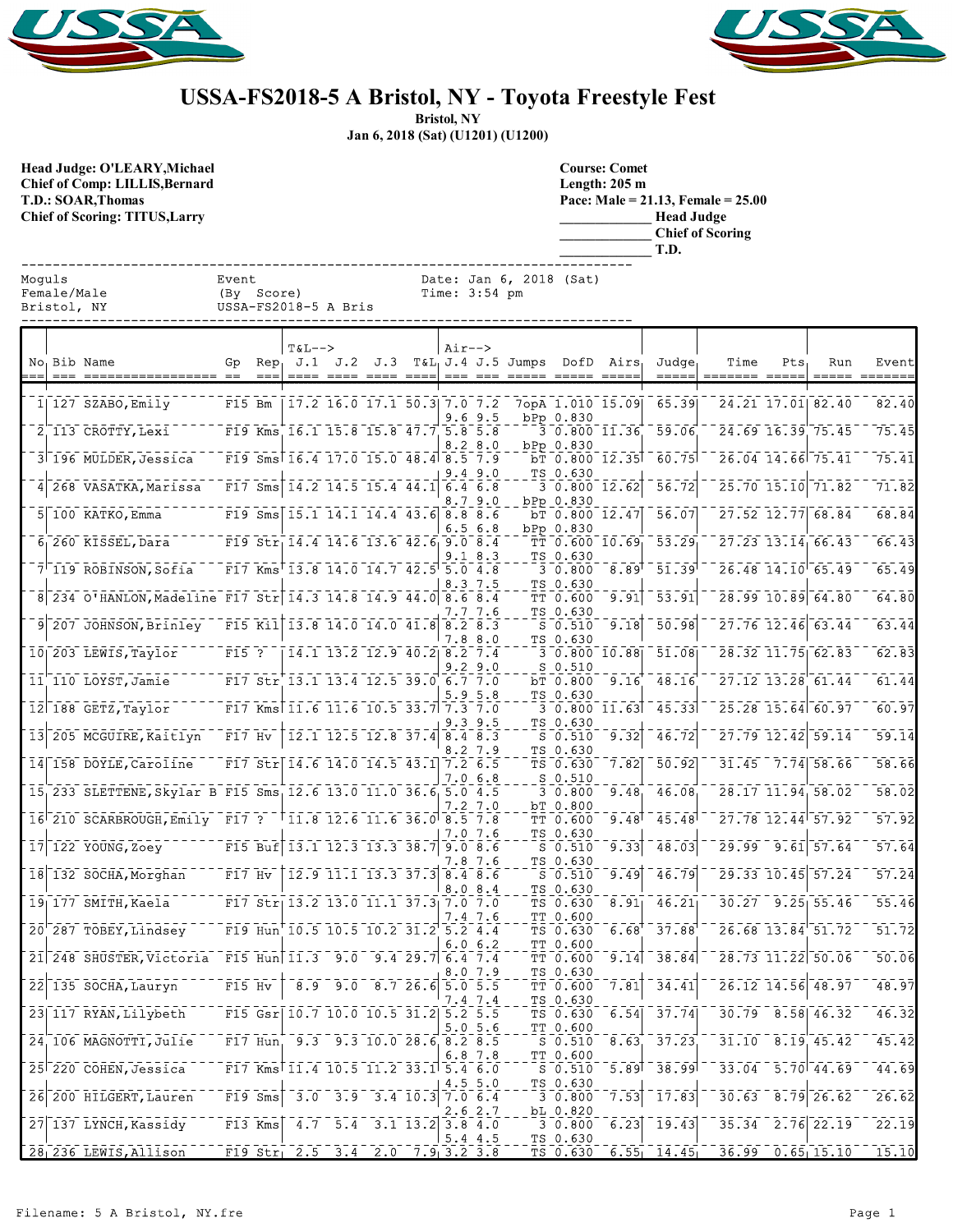



## **USSA-FS2018-5 A Bristol, NY - Toyota Freestyle Fest**

**Bristol, NY**

**Jan 6, 2018 (Sat) (U1201) (U1200)**

**Head Judge: O'LEARY,Michael Chief of Comp: LILLIS,Bernard T.D.: SOAR,Thomas Chief of Scoring: TITUS,Larry** 

Female/Male Bristol, NY

| <b>Course: Comet</b>                    |  |
|-----------------------------------------|--|
| Length: $205 \text{ m}$                 |  |
| Pace: Male = $21.13$ , Female = $25.00$ |  |
|                                         |  |
| <b>Head Judge</b>                       |  |
| <b>Chief of Scoring</b>                 |  |
| T.D.                                    |  |

| Moquls      | Event                | Date: Jan 6, 2018 (Sat) |
|-------------|----------------------|-------------------------|
| Female/Male | (By Score)           | $Time: 3:54$ pm         |
| Bristol, NY | USSA-FS2018-5 A Bris |                         |

|  | No Bib Name                                                   | Gp         | Rep.      | $T&L-->$                                                                                                                                             |                                                                                                           |                                | $Air--$ |             | $J.1$ $J.2$ $J.3$ $T&L_1J.4$ $J.5$ Jumps DofD Airs, |                         |                   | Judge <sub>r</sub> | Time                    | Pts | Run                  | Event              |
|--|---------------------------------------------------------------|------------|-----------|------------------------------------------------------------------------------------------------------------------------------------------------------|-----------------------------------------------------------------------------------------------------------|--------------------------------|---------|-------------|-----------------------------------------------------|-------------------------|-------------------|--------------------|-------------------------|-----|----------------------|--------------------|
|  | $1 127$ SZABO, Emily                                          | $F15$ Bm   |           |                                                                                                                                                      | 17.2 16.0 17.1 50.3 7.0 7.2                                                                               |                                |         | $9.6$ $9.5$ |                                                     | bPp 0.830               | 7opA 1.010 15.09  | 65.39              | 24.21 17.01 82.40       |     |                      | 82.40              |
|  | 2 113 CROTTY, Lexi                                            |            |           | F19 Kms 16.1 15.8 15.8 47.7 5.8 5.8                                                                                                                  |                                                                                                           |                                |         |             |                                                     |                         | 3 0.800 11.36     | 59.06              | 24.69 16.39 75.45       |     |                      | 75.45              |
|  | 3 196 MULDER, Jessica                                         |            |           | F19 Sms 16.4 17.0 15.0 48.4 8.5 7.9                                                                                                                  |                                                                                                           |                                |         | 8.2 8.0     |                                                     | bPp 0.830               | $bT$ 0.800 12.35  | 60.75              | 26.04 14.66 75.41       |     |                      | 75.41              |
|  | 4 268 VASATKA, Marissa                                        |            |           | F17 Sms $14.2$ 14.5 15.4 44.1 6.4 6.8                                                                                                                |                                                                                                           |                                |         | 9.49.0      |                                                     | TS 0.630                | 30.80012.62       | 56.72              |                         |     | 25.70 15.10 71.82    | 71.82              |
|  | $5 100$ KATKO, Emma                                           |            |           | F19 Sms 15.1 14.1 14.4 43.6 8.8 8.6                                                                                                                  |                                                                                                           |                                |         | 8.79.0      |                                                     | bPp 0.830               | $bT$ 0.800 12.47  | 56.07              |                         |     | 27.52 12.77 68.84    | 68.84              |
|  | $61$ 260 KISSEL, Dara                                         |            |           | F19 Str 14.4 14.6 13.6 42.6 9.0 8.4                                                                                                                  |                                                                                                           |                                |         | 6.56.8      |                                                     | bPp 0.830               | $TT$ 0.600 10.69  | $\overline{53.29}$ | $27.23$ $13.14$ 66.43   |     |                      | 66.43              |
|  | $7^{\dagger}$ 119 ROBINSON, Sofia                             |            |           | F17 Kms $13.8$ 14.0 14.7 42.5 5.0 4.8                                                                                                                |                                                                                                           |                                |         | 9.1 8.3     |                                                     | TS 0.630<br>30.800      | $\overline{8.89}$ | $51.39^{\circ}$    | 26.48 14.10 65.49       |     |                      | 65.49              |
|  | 8 234 O'HANLON, Madeline F17 Str 14.3 14.8 14.9 44.0 8.6 8.4  |            |           |                                                                                                                                                      |                                                                                                           |                                |         | 8.37.5      |                                                     | TS 0.630<br>TT 0.600    | 9.91              | 53.91              | 28.99 10.89 64.80       |     |                      | 64.80              |
|  | 9 207 JOHNSON, Brinley F15 Kil 13.8 14.0 14.0 41.8 8.2 8.3    |            |           |                                                                                                                                                      |                                                                                                           |                                |         | 7.7 7.6     |                                                     | TS 0.630<br>$S$ 0.510   | 9.18              | 50.98              | $27.76$ 12.46 63.44     |     |                      | 63.44              |
|  | 10 203 LEWIS, Taylor                                          | $F15$ ?    |           |                                                                                                                                                      | $14.1$ $13.2$ $12.9$ $40.2$ $8.2$ $7.4$                                                                   |                                |         | 7.8 8.0     |                                                     | TS 0.630                | 30.80010.88       | 51.08              | $28.32$ $11.75$ 62.83   |     |                      | 62.83              |
|  | 11 110 LOYST, Jamie                                           |            |           | F17 Str 13.1 13.4 12.5 39.0 6.7 7.0                                                                                                                  |                                                                                                           |                                |         | $9.2$ $9.0$ |                                                     | $S$ $0.510$<br>bT 0.800 | 9.16              | 48.16              | $27.12$ $13.28$ 61.44   |     |                      | 61.44              |
|  | 12 188 GETZ, Taylor                                           |            |           | F17 Kms 11.6 11.6 10.5 33.7 7.3 7.0                                                                                                                  |                                                                                                           |                                |         | 5.9 5.8     |                                                     | TS 0.630                | 3 0.800 11.63     | 45.33              | 25.28 15.64 60.97       |     |                      | 60.97              |
|  | 13 205 MCGUIRE, Kaitlyn                                       | $-$ F17 Hv |           |                                                                                                                                                      | $\overline{12.1}$ $\overline{12.5}$ $\overline{12.8}$ $\overline{37.4}$ $\overline{8.4}$ $\overline{8.3}$ |                                |         | 9.39.5      |                                                     | TS 0.630<br>$S_0.510$   | 9.32              | 46.72              | 27.79 12.42 59.14       |     |                      | 59.14              |
|  | 14 158 DOYLE, Caroline                                        |            |           | F17 Str 14.6 14.0 14.5 43.1 7.2 6.5                                                                                                                  |                                                                                                           |                                |         | .27.9       |                                                     | TS 0.630<br>TS 0.630    | 7.82              | 50.92              |                         |     | $31.45 - 7.74$ 58.66 | $-58.66$           |
|  | 15 233 SLETTENE, Skylar B F15 Sms 12.6 13.0 11.0 36.6 5.0 4.5 |            |           |                                                                                                                                                      |                                                                                                           |                                |         | 7.0 6.8     |                                                     | $S_0.510$<br>3 0.800    | 9.48              | 46.08              | 28.17 11.94 58.02       |     |                      | 58.02              |
|  | 16 210 SCARBROUGH, Emily F17 ? 11.8 12.6 11.6 36.0 8.5 7.8    |            |           |                                                                                                                                                      |                                                                                                           |                                |         | 7.2 7.0     |                                                     | bT 0.800<br>TT 0.600    | 9.48              | 45.48              | 27.78 12.44 57.92       |     |                      | 57.92              |
|  | 17 122 YOUNG, Zoey                                            |            |           | F15 Buf 13.1 12.3 13.3 38.7 9.0 8.6                                                                                                                  |                                                                                                           |                                |         | 7.0 7.6     |                                                     | TS 0.630<br>$S_0.510$   | 9.33              | 48.03              | 29.99 9.61 57.64        |     |                      | 57.64              |
|  | 18 132 SOCHA, Morghan                                         | $F17$ Hv   |           | $\begin{bmatrix} 12.9 & 11.1 & 13.3 & 37.3 & 8.4 & 8.6 \end{bmatrix}$                                                                                |                                                                                                           |                                |         | 7.8 7.6     |                                                     | TS 0.630<br>$S_0.510$   | 9.49              | 46.79              | 29.33 10.45 57.24       |     |                      | 57.24              |
|  | $19$   177 SMITH, Kaela                                       |            |           | F17 Str $13.2$ 13.0 11.1 37.3 7.0 7.0                                                                                                                |                                                                                                           |                                |         | 8.08.4      |                                                     | TS 0.630<br>TS 0.630    | 8.91              | 46.21              |                         |     | $30.27$ $9.25$ 55.46 | 55.46              |
|  | 20 <sup>-287</sup> TOBEY, Lindsey                             |            |           | F19 Hun 10.5 10.5 10.2 31.2 5.2 4.4                                                                                                                  |                                                                                                           |                                |         | 7.4 7.6     |                                                     | TT 0.600<br>TS 0.630    | 6.68'             | 37.88              | $26.68$ $13.84$ $51.72$ |     |                      | $\overline{51.72}$ |
|  | 21 248 SHUSTER, Victoria F15 Hun 11.3 9.0 9.4 29.7 6.4 7.4    |            |           |                                                                                                                                                      |                                                                                                           |                                |         | 6.06.2      |                                                     | TT 0.600<br>TT 0.600    | 9.14              | 38.84              |                         |     | 28.73 11.22 50.06    | 50.06              |
|  | $22$ 135 SOCHA, Lauryn                                        | $F15$ Hv   |           | 8.9                                                                                                                                                  |                                                                                                           | $9.0$ $8.7$ $26.6$ $5.0$ $5.5$ |         | 8.0 7.9     |                                                     | TS 0.630<br>TT 0.600    | 7.81              | 34.41              | 26.12 14.56 48.97       |     |                      | 48.97              |
|  | 23 117 RYAN, Lilybeth                                         |            |           | F15 Gsr $10.7$ 10.0 10.5 31.2                                                                                                                        |                                                                                                           |                                | 5.25.5  | 7.4 7.4     |                                                     | TS 0.630<br>TS 0.630    | 6.54              | 31.14              | $30.79$ $8.58$ $46.32$  |     |                      | 46.32              |
|  | 24 106 MAGNOTTI, Julie                                        |            |           | F17 Hun, 9.3 9.3 10.0 28.6 8.2 8.5                                                                                                                   |                                                                                                           |                                |         | 5.05.6      |                                                     | TT 0.600<br>$S_0.510$   |                   | $8.63$ , $37.23$   | $31.10$ $8.19$ $45.42$  |     |                      | 45.42              |
|  | 25 220 COHEN, Jessica                                         |            |           | $\overline{F17}$ Kms <sup><math>\overline{11.4}</math></sup> $\overline{10.5}$ $\overline{11.2}$ $\overline{33.1}$ $\overline{5.4}$ $\overline{6.0}$ |                                                                                                           |                                |         | 6.8 7.8     |                                                     | TT 0.600<br>$S_0.510$   |                   | $-5.89 - 38.99$    | $33.04$ $5.70$ $44.69$  |     |                      | 44.69              |
|  | 26 200 HILGERT, Lauren                                        |            | $F19$ Sms |                                                                                                                                                      | $-3.0$ $-3.9$ $-3.4$ $10.3$ $7.0$ $6.4$                                                                   |                                |         | 4.5 5.0     |                                                     | TS 0.630<br>30.800      | 7.53              | 17.83              |                         |     | $30.63 - 8.79$ 26.62 | $\overline{26.62}$ |
|  | 27 137 LYNCH, Kassidy                                         |            | $F13$ Kms |                                                                                                                                                      | $4.7$ 5.4 3.1 13.2 3.8 4.0                                                                                |                                |         | 2.6 2.7     |                                                     | bL 0.820<br>3 0.800     | 6.23              | 19.43              | $35.34$ $2.76$ $22.19$  |     |                      | 22.19              |
|  | 28 236 LEWIS, Allison                                         |            |           | F19 Str $2.5$ 3.4 2.0 7.9 3.2 3.8                                                                                                                    |                                                                                                           |                                |         | 5.4 4.5     |                                                     | TS 0.630<br>TS 0.630    |                   | $6.55$ 14.45       | $-36.99 - 0.65$ 15.10   |     |                      | 15.10              |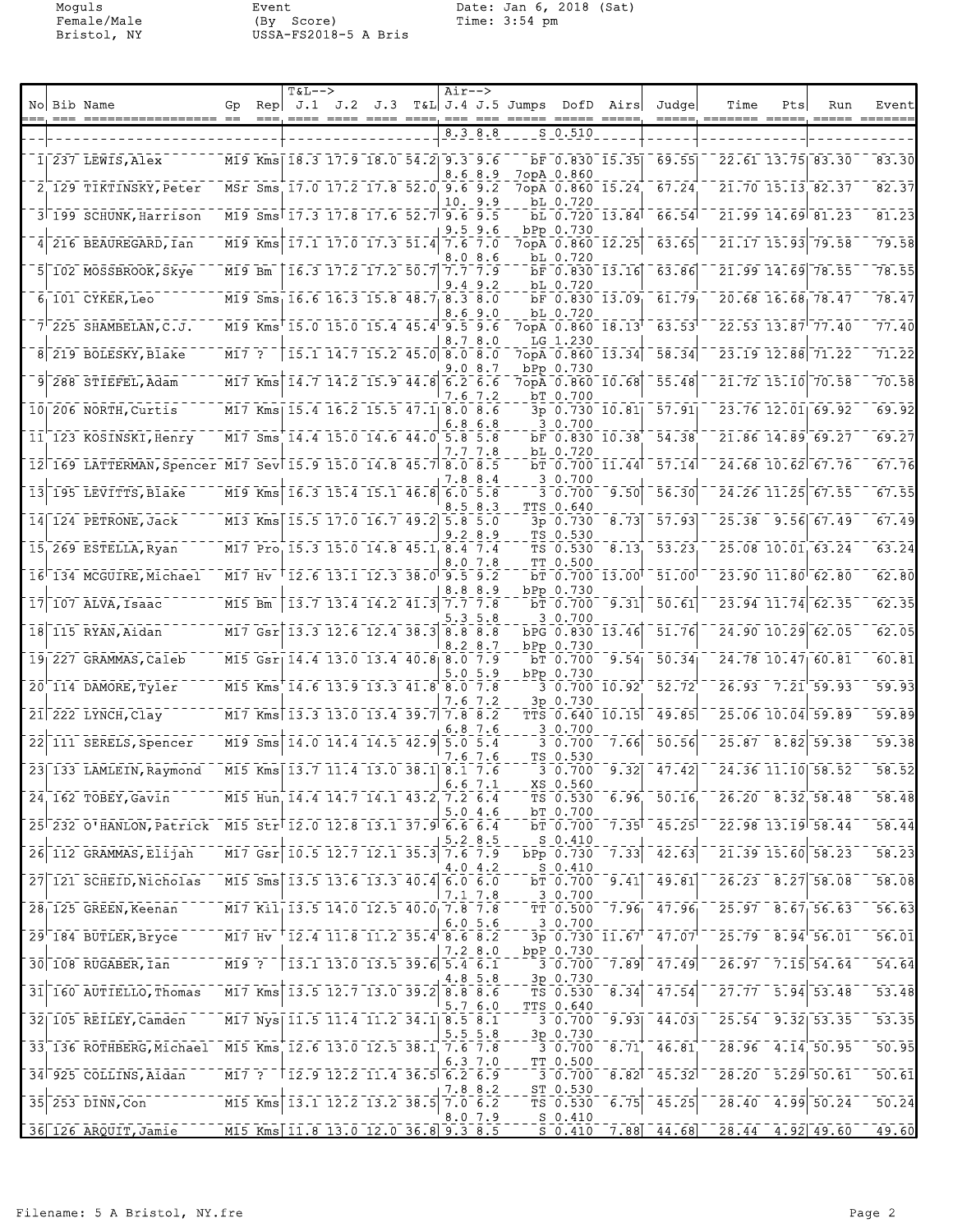Moguls Event Date: Jan 6, 2018 (Sat)<br>Female/Male (By Score) Time: 3:54 pm<br>Bristol, NY USSA-FS2018-5 A Bris Female/Male (By Score) Time: 3:54 pm Bristol, NY USSA-FS2018-5 A Bris

|  | No Bib Name                                                   | Gp       |           | <b>T&amp;L--&gt;</b>                                                  |                                                                                                           | $Air--$ |                   | Rep $J.1$ J.2 J.3 T&L J.4 J.5 Jumps DofD Airs |                                |                  | Judgel                      | Time                                                    | Pts | Run                                                                                                                                                              | Event              |
|--|---------------------------------------------------------------|----------|-----------|-----------------------------------------------------------------------|-----------------------------------------------------------------------------------------------------------|---------|-------------------|-----------------------------------------------|--------------------------------|------------------|-----------------------------|---------------------------------------------------------|-----|------------------------------------------------------------------------------------------------------------------------------------------------------------------|--------------------|
|  |                                                               |          | $==$      | $== == =$                                                             | ==== ====                                                                                                 | $== =$  | 8.3 8.8           | =====                                         | S 0.510                        |                  | $=$ $=$ $=$ $=$             | ======= =====                                           |     |                                                                                                                                                                  | =======            |
|  | $1 237$ LEWIS, Alex                                           |          |           | M19 Kms   18.3 17.9 18.0 54.2 9.3 9.6                                 |                                                                                                           |         |                   |                                               |                                | bF 0.830 15.35   | 69.55                       |                                                         |     | 22.61 13.75 83.30                                                                                                                                                | 83.30              |
|  | 2 129 TIKTINSKY, Peter                                        |          |           | MSr Sms 17.0 17.2 17.8 52.0 9.6 9.2                                   |                                                                                                           |         | 8.68.9            |                                               | 7opA 0.860<br>7opA 0.860 15.24 |                  | 67.24                       |                                                         |     | 21.70 15.13 82.37                                                                                                                                                | 82.37              |
|  |                                                               |          |           |                                                                       |                                                                                                           | 10.     | 9.9               |                                               | bL 0.720                       |                  |                             |                                                         |     |                                                                                                                                                                  |                    |
|  | 3 199 SCHUNK, Harrison                                        |          |           | M19 Sms 17.3 17.8 17.6 52.7 9.6 9.5                                   |                                                                                                           |         | 9.59.6            |                                               | bPp 0.730                      | bL 0.720 13.84   | 66.54                       |                                                         |     | 21.99 14.69 81.23                                                                                                                                                | 81.23              |
|  | 4 216 BEAUREGARD, Ian                                         |          |           | M19 Kms 17.1 17.0 17.3 51.4 7.6 7.0                                   |                                                                                                           | 8.0     | 8.6               |                                               | 7opA 0.860 12.25<br>bL 0.720   |                  | 63.65                       |                                                         |     | 21.17 15.93 79.58                                                                                                                                                | 79.58              |
|  | 5 102 MOSSBROOK, Skye                                         | M19 Bm   |           |                                                                       | 16.3 17.2 17.2 50.7 7.7 7.9                                                                               | . 4     | 9.2               |                                               | bF 0.830 13.16<br>bL 0.720     |                  | 63.86                       |                                                         |     | 21.99 14.69 78.55                                                                                                                                                | 78.55              |
|  | $61101$ CYKER, Leo                                            |          |           | M19 Sms 16.6 16.3 15.8 48.7 8.3 8.0                                   |                                                                                                           |         | .69.0             |                                               | $bF$ 0.830 13.09<br>bL 0.720   |                  | 61.79                       |                                                         |     | 20.68 16.68 78.47                                                                                                                                                | 78.47              |
|  | $7'$ 225 SHAMBELAN, C.J.                                      |          |           | M19 Kms 15.0 15.0 15.4 45.4 9.5 9.6                                   |                                                                                                           | 8.7     | 8.0               |                                               | LG 1.230                       | 7opA 0.860 18.13 | 63.53                       |                                                         |     | 22.53 13.87 77.40                                                                                                                                                | 77.40              |
|  | 8 219 BOLESKY, Blake                                          | M17 ?    |           |                                                                       | 15.1 14.7 15.2 45.0 8.0 8.0                                                                               |         |                   |                                               |                                | 7opA 0.860 13.34 | 58.34                       |                                                         |     | 23.19 12.88 71.22                                                                                                                                                | 71.22              |
|  | 9 288 STIEFEL, Adam                                           |          | $M17$ Kms |                                                                       | $\overline{14.7}$ $\overline{14.2}$ $\overline{15.9}$ $\overline{44.8}$ $\overline{6.2}$ $\overline{6.6}$ | . 0     | 8.7               |                                               | bPp 0.730<br>7opA 0.860 10.68  |                  | 55.48                       |                                                         |     | 21.72 15.10 70.58                                                                                                                                                | 70.58              |
|  | 10 206 NORTH, Curtis                                          |          |           | M17 Kms  15.4 16.2 15.5 47.1  8.0 8.6                                 |                                                                                                           | 7.6     | 7.2               |                                               | bT 0.700                       | 3p 0.730 10.81   | 57.91                       |                                                         |     | 23.76 12.01 69.92                                                                                                                                                | 69.92              |
|  | 11 123 KOSINSKI, Henry                                        |          |           | M17 Sms 14.4 15.0 14.6 44.0 5.8 5.8                                   |                                                                                                           | 6.8     | 6.8               |                                               | 3 0.700<br>bF 0.830 10.38      |                  | 54.38                       |                                                         |     | 21.86 14.89 69.27                                                                                                                                                | 69.27              |
|  | 12 169 LATTERMAN, Spencer M17 Sev 15.9 15.0 14.8 45.7 8.0 8.5 |          |           |                                                                       |                                                                                                           |         | 7.7 7.8           |                                               | bL 0.720                       | bT 0.700 11.44   | 57.14                       |                                                         |     | 24.68 10.62 67.76                                                                                                                                                | 67.76              |
|  | 13 195 LEVITTS, Blake                                         |          | M19 Kms   |                                                                       | 16.3 15.4 15.1 46.8                                                                                       |         | 7.8 8.4<br>6.05.8 |                                               | 3 0.700<br>3 0.700             | 9.50             | 56.30                       |                                                         |     | 24.26 11.25 67.55                                                                                                                                                | $\overline{67.55}$ |
|  | 14 124 PETRONE, Jack                                          |          |           | M13 Kms 15.5 17.0 16.7 49.2 5.8 5.0                                   |                                                                                                           |         | 8.5 8.3           |                                               | <b>TTS 0.640</b><br>3p 0.730   | 8.73             | 57.93                       |                                                         |     | 25.38 9.56 67.49                                                                                                                                                 | 67.49              |
|  | 15 269 ESTELLA, Ryan                                          |          |           | M17 Pro 15.3 15.0 14.8 45.1 8.4 7.4                                   |                                                                                                           |         | 9.28.9            |                                               | TS 0.530<br>TS 0.530           | 8.13             | 53.23                       |                                                         |     | 25.08 10.01 63.24                                                                                                                                                | 63.24              |
|  | 16 134 MCGUIRE, Michael                                       | $M17$ Hv |           |                                                                       | $12.6$ 13.1 12.3 38.0 9.5 9.2                                                                             |         | 8.0 7.8           |                                               | TT 0.500                       | $bT$ 0.700 13.00 | 51.00                       |                                                         |     | 23.90 11.80 62.80                                                                                                                                                | 62.80              |
|  | $17$   107 ALVA, Isaac                                        | M15 Bm   |           |                                                                       | $13.7$ $13.4$ $14.2$ $41.3$ $7.7$ $7.8$                                                                   |         | 8.88.9            |                                               | bPp 0.730<br>bT 0.700          | 9.31             | $\overline{50.61}$          |                                                         |     | 23.94 11.74 62.35                                                                                                                                                | 62.35              |
|  | 18 115 RYAN, Aidan                                            |          |           | M17 Gsr 13.3 12.6 12.4 38.3 8.8 8.8                                   |                                                                                                           |         | 5.3 5.8           |                                               | 3 0.700                        | bPG 0.830 13.46  | 51.76                       |                                                         |     | 24.90 10.29 62.05                                                                                                                                                | 62.05              |
|  |                                                               |          |           |                                                                       |                                                                                                           |         | 8.2 8.7           |                                               | bPp 0.730                      |                  |                             |                                                         |     | 24.78 10.47 60.81                                                                                                                                                | 60.81              |
|  | 19 227 GRAMMAS, Caleb                                         |          |           | M15 Gsr   14.4 13.0 13.4 40.8 8.0 7.9                                 |                                                                                                           |         | 5.0 5.9           |                                               | bT 0.700<br>bPp 0.730          | 9.54             | 50.34                       |                                                         |     |                                                                                                                                                                  |                    |
|  | 20 114 DAMORE, Tyler                                          |          |           | M15 Kms 14.6 13.9 13.3 41.8                                           |                                                                                                           | 7.6     | 8.07.8<br>7.2     |                                               | 3 0.700 10.92<br>3p 0.730      |                  | 52.72                       | 26.93                                                   |     | $7.21$ 59.93                                                                                                                                                     | 59.93              |
|  | $21$ 222 LYNCH, Clay                                          |          |           | M17 Kms 13.3 13.0 13.4 39.7 7.8 8.2                                   |                                                                                                           |         | 6.87.6            |                                               | 3 0.700                        | TTS 0.640 10.15  | 49.85                       |                                                         |     | 25.06 10.04 59.89                                                                                                                                                | 59.89              |
|  | 22 111 SERELS, Spencer                                        |          |           | M19 Sms 14.0 14.4 14.5 42.9                                           |                                                                                                           | 7.6     | 5.05.4<br>7.6     |                                               | 3 0.700<br>TS 0.530            | 7.66             | 50.56                       |                                                         |     | 25.87 8.82 59.38                                                                                                                                                 | 59.38              |
|  | 23 133 LAMLEIN, Raymond                                       |          |           | M15 Kms 13.7 11.4 13.0 38.1 8.1 7.6                                   |                                                                                                           |         | 6.67.1            |                                               | 3 0.700<br>XS 0.560            | 9.32             | 47.42                       |                                                         |     | 24.36 11.10 58.52                                                                                                                                                | 58.52              |
|  | 24 162 TOBEY, Gavin                                           |          |           | M15 Hun 14.4 14.7 14.1 43.2 7.2 6.4                                   |                                                                                                           |         | 5.04.6            |                                               | TS 0.530<br>bT 0.700           |                  | 6.96, 50.16                 |                                                         |     | 26.20 8.32 58.48                                                                                                                                                 | 58.48              |
|  | 25 232 0'HANLON, Patrick M15 Str 12.0 12.8 13.1 37.9 6.6 6.4  |          |           |                                                                       |                                                                                                           |         | 5.2 8.5           |                                               | bT 0.700<br>$S_0.410$          |                  | $7.35$ <sup>7</sup> $45.25$ | $22.98$ 13.19 58.44                                     |     |                                                                                                                                                                  | 58.44              |
|  | 26 112 GRAMMAS, Elijah                                        |          |           | M17 Gsr 10.5 12.7 12.1 35.3 7.6 7.9                                   |                                                                                                           |         | 4.0 4.2           |                                               | bPp 0.730                      | 7.33             | 42.63                       |                                                         |     | $2\overline{1}\cdot\overline{3}\overline{9}\cdot\overline{1}\overline{5}\cdot\overline{6}\overline{0}\cdot\overline{5}\overline{8}\cdot\overline{2}\overline{3}$ | 58.23              |
|  | 27 121 SCHEID, Nicholas                                       |          |           | M15 Sms 13.5 13.6 13.3 40.4 6.0 6.0                                   |                                                                                                           |         |                   |                                               | $S_0.410$<br>bT 0.700          | 9.41             | 49.81                       |                                                         |     | $26.23 - 8.27$ 58.08                                                                                                                                             | 58.08              |
|  | 28 125 GREEN, Keenan                                          |          |           | M17 Kil 13.5 14.0 12.5 40.0 7.8 7.8                                   |                                                                                                           |         | 7.1 7.8           |                                               | 3 0.700<br>TT 0.500            | $7.96_1$         | $-47.96$                    | $\overline{25.97}$ $\overline{8.67}$ $\overline{56.63}$ |     |                                                                                                                                                                  | 56.63              |
|  | 29 184 BUTLER, Bryce                                          |          |           | M17 Hv 12.4 11.8 11.2 35.4 8.6 8.2                                    |                                                                                                           |         | 6.0 5.6           |                                               | 3 0.700                        |                  | 3p 0.730 11.67 47.07        | $25.79$ $8.94$ $56.01$                                  |     |                                                                                                                                                                  | 56.01              |
|  | 30 108 RUGABER, Ian                                           | $MT9$ ?  |           | $\begin{bmatrix} 13.1 & 13.0 & 13.5 & 39.6 & 5.4 & 6.1 \end{bmatrix}$ |                                                                                                           |         | 7.2 8.0           |                                               | bpP 0.730<br>30.700            | 7.89             | 47.49                       |                                                         |     | $26.97 - 7.15$ 54.64                                                                                                                                             | 54.64              |
|  | 31 160 AUTIELLO, Thomas                                       |          |           | $\sqrt{17}$ Kms 13.5 12.7 13.0 39.2 8.8 8.6                           |                                                                                                           |         | 4.8 5.8           |                                               | 3p 0.730<br>TS 0.530           | 8.34             | 47.54                       |                                                         |     | $27.77 - 5.94$ 53.48                                                                                                                                             | $\overline{53.48}$ |
|  | 32  105 REILEY, Camden                                        |          |           | M17 Nys 11.5 11.4 11.2 34.1 8.5 8.1                                   |                                                                                                           |         | 5.7 6.0           |                                               | TTS 0.640<br>3 0.700           | 9.93             | 44.03                       |                                                         |     | 25.54 9.32 53.35                                                                                                                                                 | $\overline{53.35}$ |
|  | 33 136 ROTHBERG, Michael M15 Kms 12.6 13.0 12.5 38.1 7.6 7.8  |          |           |                                                                       |                                                                                                           |         | 5.5 5.8           |                                               | 3p 0.730<br>3 0.700            | 8.71             | 46.81                       |                                                         |     | $28.96$ 4.14 50.95                                                                                                                                               | 50.95              |
|  | 34 925 COLLINS, Aidan                                         |          |           | $MT$ ? $12.9$ 12.2 11.4 36.5 6.2 6.9                                  |                                                                                                           |         | 6.3 7.0           |                                               | TT 0.500<br>3 0.700            | 8.82             | $-45.32$                    |                                                         |     | $28.20 - 5.29 - 50.61$                                                                                                                                           | $\overline{50.61}$ |
|  | $35$ $253$ $\overline{D}$ INN, Con                            |          |           | $\overline{M15}$ Kms 13.1 12.2 13.2 38.5 7.0 6.2                      |                                                                                                           |         | 7.8 8.2           |                                               | ST 0.530<br>TS 0.530           | 6.75             | $-45.25$                    |                                                         |     | $28.40$ $4.99$ 50.24                                                                                                                                             | $\overline{50.24}$ |
|  |                                                               |          |           | M15 Kms 11.8 13.0 12.0 36.8 9.3 8.5                                   |                                                                                                           |         | 8.07.9            |                                               | $S_0.410$                      |                  |                             | $\frac{-28.44 - 4.92}{49.60}$                           |     |                                                                                                                                                                  | $\overline{49.60}$ |
|  | 36 126 ARQUIT, Jamie                                          |          |           |                                                                       |                                                                                                           |         |                   |                                               | <u>S 0.410</u>                 |                  | $7.88$ 44.68                |                                                         |     |                                                                                                                                                                  |                    |